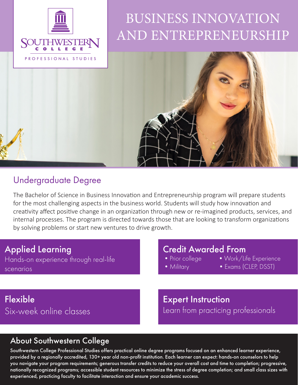

## BUSINESS INNOVATION AND ENTREPRENEURSHIP



### Undergraduate Degree

The Bachelor of Science in Business Innovation and Entrepreneurship program will prepare students for the most challenging aspects in the business world. Students will study how innovation and creativity affect positive change in an organization through new or re-imagined products, services, and internal processes. The program is directed towards those that are looking to transform organizations by solving problems or start new ventures to drive growth.

#### Applied Learning

Hands-on experience through real-life scenarios

# **Credit Awarded From**<br>• Prior college • Work/Li

- 
- Work/Life Experience
- 
- 
- 
- Military Exams (CLEP, DSST)

## Flexible Six-week online classes

Expert Instruction Learn from practicing professionals

#### About Southwestern College

Southwestern College Professional Studies offers practical online degree programs focused on an enhanced learner experience, provided by a regionally accredited, 130+ year old non-profit institution. Each learner can expect: hands-on counselors to help you navigate your program requirements; generous transfer credits to reduce your overall cost and time to completion; progressive, nationally recognized programs; accessible student resources to minimize the stress of degree completion; and small class sizes with experienced, practicing faculty to facilitate interaction and ensure your academic success.